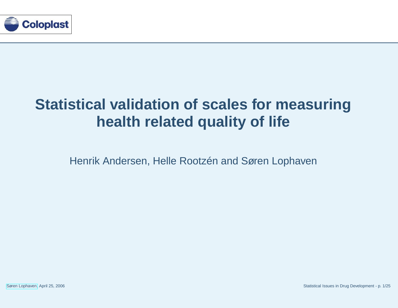

### **Statistical validation of scales for measuringhealth related quality of life**

Henrik Andersen, Helle Rootzén and Søren Lophaven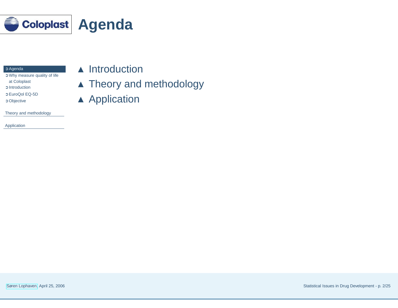<span id="page-1-0"></span>

| <b>O</b> Agenda |
|-----------------|
|-----------------|

- **☉** Agenda<br><mark>✑ Why measure quality of life</mark> at [Coloplast](#page-2-0) ➲ [Introduction](#page-3-0)
- ➲ [EuroQol](#page-4-0) EQ-5D
- ➲ [Objective](#page-5-0)

Theory and [methodology](#page-6-0)

[Application](#page-15-0)

- ▲ Introduction
- ▲ Theory and methodology
- ▲ Application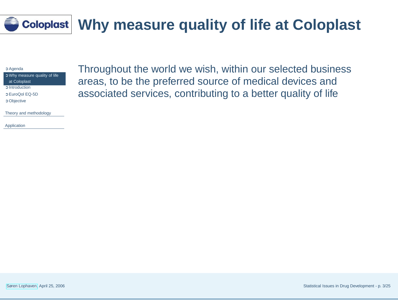# <span id="page-2-0"></span>**Why measure quality of life at Coloplast**

➲ [Agenda](#page-1-0)

➲ Why measure quality of life at Coloplast

➲ [Introduction](#page-3-0)

➲ [EuroQol](#page-4-0) EQ-5D

➲ [Objective](#page-5-0)

Theory and [methodology](#page-6-0)

[Application](#page-15-0)

Throughout the world we wish, within our selected businessareas, to be the preferred source of medical devices andassociated services, contributing to <sup>a</sup> better quality of life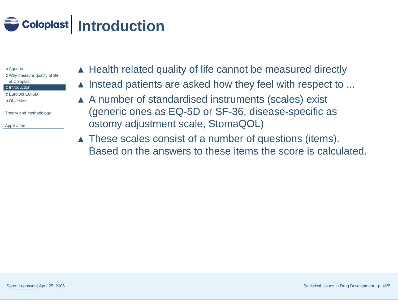<span id="page-3-0"></span>

| C Agenda                             |
|--------------------------------------|
| <b>O</b> Why measure quality of life |
| at Coloplast                         |
| <b>C</b> Introduction                |
| C EuroQol EQ-5D                      |
| <b>C</b> Objective                   |
|                                      |
| Theory and methodology               |
|                                      |
| Application                          |
|                                      |

- $\blacktriangle$  Health related quality of life cannot be measured directly
- ▲ Instead patients are asked how they feel with respect to ...
- ▲ A number of standardised instruments (scales) exist (generic ones as EQ-5D or SF-36, disease-specific asostomy adjustment scale, StomaQOL)
- ▲ These scales consist of a number of questions (items). Based on the answers to these items the score is calculated.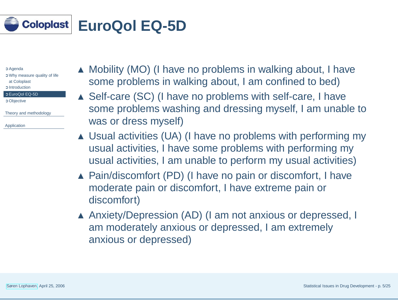<span id="page-4-0"></span>

- ➲ Why measure quality of life at [Coloplast](#page-2-0)
- ➲ [Introduction](#page-3-0)
- ➲ EuroQol EQ-5D

➲ [Objective](#page-5-0)

Theory and [methodology](#page-6-0)

[Application](#page-15-0)

- ▲ Mobility (MO) (I have no problems in walking about, I have some problems in walking about, I am confined to bed)
- ▲ Self-care (SC) (I have no problems with self-care, I have some problems washing and dressing myself, I am unable towas or dress myself)
- ▲ Usual activities (UA) (I have no problems with performing my usual activities, I have some problems with performing myusual activities, I am unable to perform my usual activities)
- ▲ Pain/discomfort (PD) (I have no pain or discomfort, I have moderate pain or discomfort, I have extreme pain ordiscomfort)
- ▲ Anxiety/Depression (AD) (I am not anxious or depressed, I am moderately anxious or depressed, I am extremelyanxious or depressed)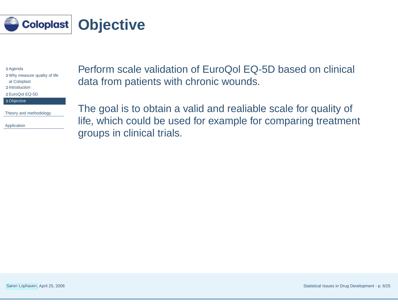<span id="page-5-0"></span>

➲ [Agenda](#page-1-0) ➲ Why measure quality of life at [Coloplast](#page-2-0) ➲ [Introduction](#page-3-0) ➲ [EuroQol](#page-4-0) EQ-5D

➲ Objective

Theory and [methodology](#page-6-0)

[Application](#page-15-0)

Perform scale validation of EuroQol EQ-5D based on clinical data from patients with chronic wounds.

The goal is to obtain <sup>a</sup> valid and realiable scale for quality of life, which could be used for example for comparing treatment groups in clinical trials.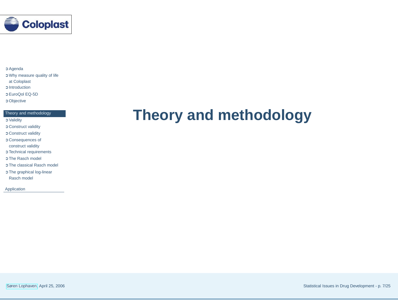<span id="page-6-0"></span>

➲ Why measure quality of life at [Coloplast](#page-2-0) ➲ [Introduction](#page-3-0) ➲ [EuroQol](#page-4-0) EQ-5D ➲ [Objective](#page-5-0)

Theory and methodology

- ➲ [Validity](#page-7-0)
- ➲ [Construct](#page-8-0) validity
- ➲ [Construct](#page-9-0) validity
- ➲ [Consequences](#page-10-0) of
- construct validity
- ➲ Technical [requirements](#page-11-0)
- **O** The [Rasch](#page-12-0) model
- ➲ The [classical](#page-13-0) Rasch model
- ➲ The graphical [log-linear](#page-14-0) Rasch model

[Application](#page-15-0)

### **Theory and methodology**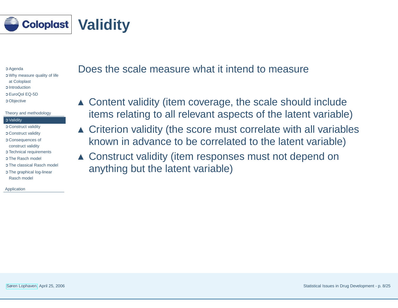<span id="page-7-0"></span>

➲ Why measure quality of life at [Coloplast](#page-2-0) ➲ [Introduction](#page-3-0) ➲ [EuroQol](#page-4-0) EQ-5D ➲ [Objective](#page-5-0)

#### Theory and [methodology](#page-6-0)

#### ➲ Validity

- ➲ [Construct](#page-8-0) validity
- ➲ [Construct](#page-9-0) validity
- ➲ [Consequences](#page-10-0) of
- construct validity
- ➲ Technical [requirements](#page-11-0)
- **O** The [Rasch](#page-12-0) model
- ➲ The [classical](#page-13-0) Rasch model
- ➲ The graphical [log-linear](#page-14-0) Rasch model

[Application](#page-15-0)

### Does the scale measure what it intend to measure

- ▲ Content validity (item coverage, the scale should include items relating to all relevant aspects of the latent variable)
- ▲ Criterion validity (the score must correlate with all variables known in advance to be correlated to the latent variable)
- ▲ Construct validity (item responses must not depend on anything but the latent variable)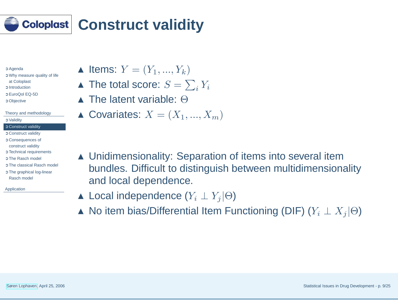<span id="page-8-0"></span>

- ➲ [Agenda](#page-1-0)
- ➲ Why measure quality of life at [Coloplast](#page-2-0) ➲ [Introduction](#page-3-0)
- ➲ [EuroQol](#page-4-0) EQ-5D
- ➲ [Objective](#page-5-0)
- Theory and [methodology](#page-6-0)➲ [Validity](#page-7-0)
- ➲ Construct validity
- ➲ [Construct](#page-9-0) validity
- ➲ [Consequences](#page-10-0) of construct validity
- ➲ Technical [requirements](#page-11-0)
- **O** The [Rasch](#page-12-0) model
- ➲ The [classical](#page-13-0) Rasch model
- ➲ The graphical [log-linear](#page-14-0) Rasch model
- [Application](#page-15-0)

 $\blacktriangle$  Items:  $Y = (Y_1, ..., Y_k)$ 

- $\blacktriangle$  The total score:  $S = \sum_i Y_i$
- $\blacktriangle$  The latent variable:  $\Theta$
- $\blacktriangle$  Covariates:  $X = (X_1, ..., X_m)$
- ▲ Unidimensionality: Separation of items into several item bundles. Difficult to distinguish between multidimensionalityand local dependence.
- ▲ Local independence  $(Y_i \perp Y_j | \Theta)$
- ▲ No item bias/Differential Item Functioning (DIF)  $(Y_i \perp X_j | \Theta)$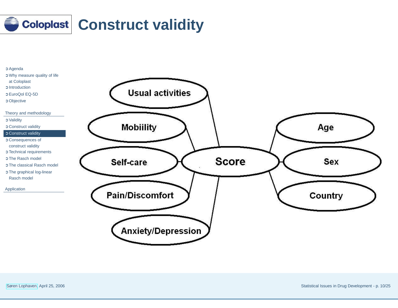<span id="page-9-0"></span>

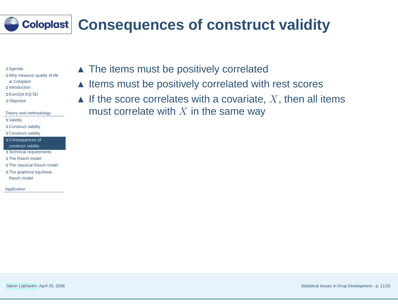## <span id="page-10-0"></span>**Consequences of construct validity**

➲ [Agenda](#page-1-0) ➲ Why measure quality of life at [Coloplast](#page-2-0) ➲ [Introduction](#page-3-0) ➲ [EuroQol](#page-4-0) EQ-5D ➲ [Objective](#page-5-0) Theory and [methodology](#page-6-0)

➲ [Validity](#page-7-0) ➲ [Construct](#page-8-0) validity

➲ [Construct](#page-9-0) validity

➲ Consequences of construct validity

➲ Technical [requirements](#page-11-0)

**O** The [Rasch](#page-12-0) model

➲ The [classical](#page-13-0) Rasch model

➲ The graphical [log-linear](#page-14-0) Rasch model

[Application](#page-15-0)

▲ The items must be positively correlated

- ▲ Items must be positively correlated with rest scores
- $\blacktriangle$  If the score correlates with a covariate,  $X$ , then all items must correlate with  $X$  in the same way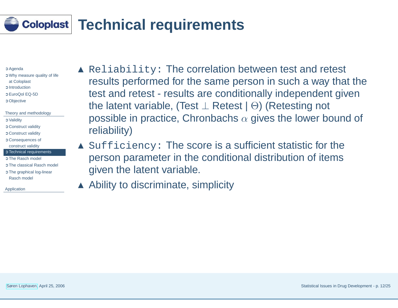## <span id="page-11-0"></span>**Technical requirements**

➲ [Agenda](#page-1-0)

- ➲ Why measure quality of life at [Coloplast](#page-2-0) ➲ [Introduction](#page-3-0) ➲ [EuroQol](#page-4-0) EQ-5D ➲ [Objective](#page-5-0)
- Theory and [methodology](#page-6-0)➲ [Validity](#page-7-0) ➲ [Construct](#page-8-0) validity ➲ [Construct](#page-9-0) validity
- ➲ [Consequences](#page-10-0) of construct validity
- **O** Technical requirements
- **O** The [Rasch](#page-12-0) model
- ➲ The [classical](#page-13-0) Rasch model
- ➲ The graphical [log-linear](#page-14-0) Rasch model

[Application](#page-15-0)

▲ Reliability: The correlation between test and retest results performed for the same person in such <sup>a</sup> way that thetest and retest - results are conditionally independent giventhe latent variable, (Test <sup>⊥</sup> Retest <sup>|</sup> <sup>Θ</sup>) (Retesting not possible in practice, Chronbachs  $\alpha$  gives the lower bound of reliability)

▲ Sufficiency: The score is a sufficient statistic for the person parameter in the conditional distribution of itemsgiven the latent variable.

▲ Ability to discriminate, simplicity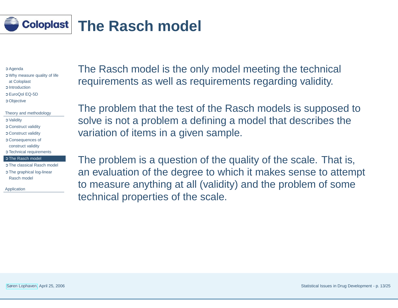<span id="page-12-0"></span>

- ➲ Why measure quality of life at [Coloplast](#page-2-0) ➲ [Introduction](#page-3-0) ➲ [EuroQol](#page-4-0) EQ-5D ➲ [Objective](#page-5-0)
- Theory and [methodology](#page-6-0)➲ [Validity](#page-7-0) ➲ [Construct](#page-8-0) validity ➲ [Construct](#page-9-0) validity ➲ [Consequences](#page-10-0) of construct validity ➲ Technical [requirements](#page-11-0) **O** The Rasch model

➲ The [classical](#page-13-0) Rasch model ➲ The graphical [log-linear](#page-14-0)

[Application](#page-15-0)

Rasch model

The Rasch model is the only model meeting the technical requirements as well as requirements regarding validity.

The problem that the test of the Rasch models is supposed tosolve is not <sup>a</sup> problem <sup>a</sup> defining <sup>a</sup> model that describes thevariation of items in <sup>a</sup> given sample.

The problem is <sup>a</sup> question of the quality of the scale. That is, an evaluation of the degree to which it makes sense to attempt to measure anything at all (validity) and the problem of sometechnical properties of the scale.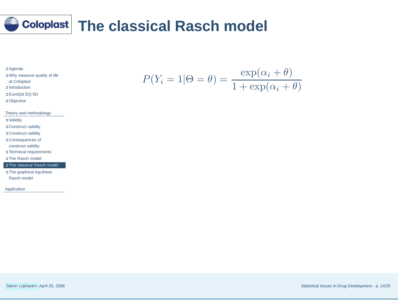<span id="page-13-0"></span>

- ➲ Why measure quality of life at [Coloplast](#page-2-0)
- ➲ [Introduction](#page-3-0)
- ➲ [EuroQol](#page-4-0) EQ-5D
- ➲ [Objective](#page-5-0)

#### Theory and [methodology](#page-6-0)

- ➲ [Validity](#page-7-0)
- ➲ [Construct](#page-8-0) validity
- ➲ [Construct](#page-9-0) validity
- ➲ [Consequences](#page-10-0) of
- construct validity
- ➲ Technical [requirements](#page-11-0)
- **O** The [Rasch](#page-12-0) model

#### ➲ The classical Rasch model

➲ The graphical [log-linear](#page-14-0) Rasch model

[Application](#page-15-0)

$$
P(Y_i = 1 | \Theta = \theta) = \frac{\exp(\alpha_i + \theta)}{1 + \exp(\alpha_i + \theta)}
$$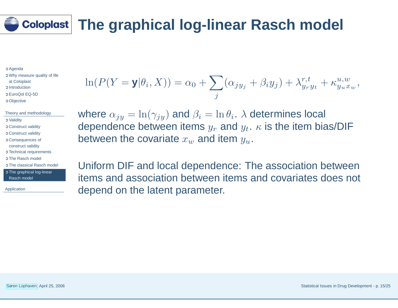## <span id="page-14-0"></span>**The graphical log-linear Rasch model**

➲ [Agenda](#page-1-0)

➲ Why measure quality of life at [Coloplast](#page-2-0) ➲ [Introduction](#page-3-0) ➲ [EuroQol](#page-4-0) EQ-5D ➲ [Objective](#page-5-0)

Theory and [methodology](#page-6-0)➲ [Validity](#page-7-0) ➲ [Construct](#page-8-0) validity ➲ [Construct](#page-9-0) validity ➲ [Consequences](#page-10-0) of construct validity ➲ Technical [requirements](#page-11-0) **O** The [Rasch](#page-12-0) model ➲ The [classical](#page-13-0) Rasch model ➲ The graphical log-linear Rasch model

[Application](#page-15-0)

$$
\ln(P(Y = y | \theta_i, X)) = \alpha_0 + \sum_j (\alpha_{jy_j} + \beta_i y_j) + \lambda_{y_r y_t}^{r,t} + \kappa_{y_u x_w}^{u,w},
$$

where  $\alpha_{jy}=\ln(\gamma_{jy})$  and  $\beta_i=\ln\theta_i$ .  $\lambda$  determines local dependence between items  $y_r$  and  $y_t$ .  $\kappa$  is the item bias/DIF between the covariate  $x_w$  and item  $y_u.$ 

Uniform DIF and local dependence: The association between items and association between items and covariates does not depend on the latent parameter.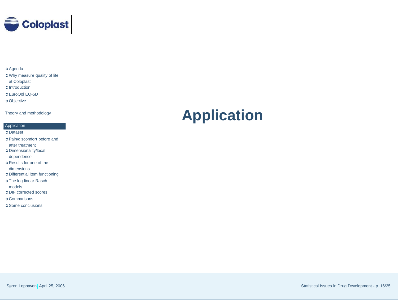<span id="page-15-0"></span>

➲ Why measure quality of life at [Coloplast](#page-2-0) ➲ [Introduction](#page-3-0) ➲ [EuroQol](#page-4-0) EQ-5D

➲ [Objective](#page-5-0)

Theory and [methodology](#page-6-0)

#### Application

➲ [Dataset](#page-16-0)

➲ [Pain/discomfort](#page-17-0) before and after treatment ➲ [Dimensionality/local](#page-18-0) dependence ➲ Results for one of the [dimensions](#page-19-0) ➲ Differential item [functioning](#page-20-0) ➲ The [log-linear](#page-21-0) Rasch models➲ DIF [corrected](#page-22-0) scores

➲ [Comparisons](#page-23-0)

➲ Some [conclusions](#page-24-0)

### **Application**

Søren [Lophaven](http://www.imm.dtu.dk/~snl), April 25, 2006

Statistical Issues in Drug Development - p. 16/25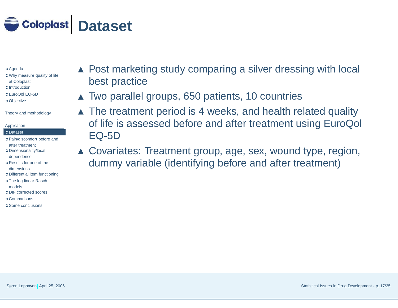<span id="page-16-0"></span>

- ➲ Why measure quality of life at [Coloplast](#page-2-0) ➲ [Introduction](#page-3-0)
- ➲ [EuroQol](#page-4-0) EQ-5D
- ➲ [Objective](#page-5-0)

Theory and [methodology](#page-6-0)

#### [Application](#page-15-0)

#### ➲ Dataset

- ➲ [Pain/discomfort](#page-17-0) before and after treatment
- ➲ [Dimensionality/local](#page-18-0) dependence
- ➲ Results for one of the
- [dimensions](#page-19-0)
- ➲ Differential item [functioning](#page-20-0)
- ➲ The [log-linear](#page-21-0) Rasch
- models
- ➲ DIF [corrected](#page-22-0) scores
- ➲ [Comparisons](#page-23-0)
- ➲ Some [conclusions](#page-24-0)
- ▲ Post marketing study comparing a silver dressing with local best practice
- ▲ Two parallel groups, <sup>650</sup> patients, <sup>10</sup> countries
- ▲ The treatment period is <sup>4</sup> weeks, and health related quality of life is assessed before and after treatment using EuroQol EQ-5D
- ▲ Covariates: Treatment group, age, sex, wound type, region, dummy variable (identifying before and after treatment)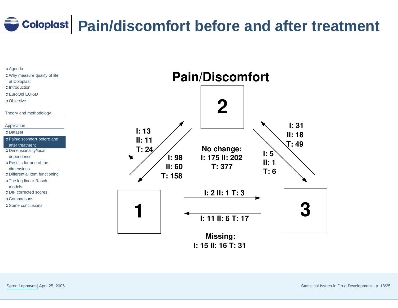# <span id="page-17-0"></span>**Pain/discomfort before and after treatment**

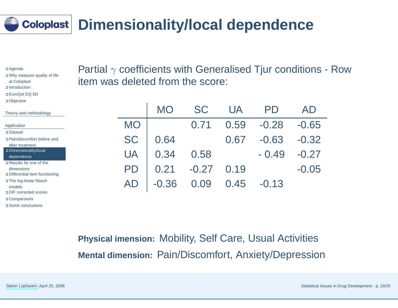## <span id="page-18-0"></span>**Dimensionality/local dependence**

➲ [Agenda](#page-1-0) ➲ Why measure quality of life at [Coloplast](#page-2-0) ➲ [Introduction](#page-3-0) ➲ [EuroQol](#page-4-0) EQ-5D ➲ [Objective](#page-5-0) The App ➲ [Dataset](#page-16-0) **OF O** [Pain/discomfort](#page-17-0) before and after treatment  $\circ$  Dimensionality/local dependence**DR O** Results for one of the [dimensions](#page-19-0)➲**O** Differential item [functioning](#page-20-0) **OT O** The [log-linear](#page-21-0) Rasch modelsoΓ **O** DIF [corrected](#page-22-0) scores ➲ [Comparisons](#page-23-0)

Partial  $\gamma$  coefficients with Generalised Tjur conditions - Row item was deleted from the score:

| --,---- <i>-</i>                                                      |           |           |             |           |         |         |
|-----------------------------------------------------------------------|-----------|-----------|-------------|-----------|---------|---------|
| eory and methodology                                                  |           | <b>MO</b> | <b>SC</b>   | <b>UA</b> | PD      | AD      |
| plication                                                             | <b>MO</b> |           |             | 0.59      | $-0.28$ | $-0.65$ |
| <b>Dataset</b><br>Pain/discomfort before and<br>after treatment       | <b>SC</b> | 0.64      |             | 0.67      | $-0.63$ | $-0.32$ |
| Dimensionality/local<br>dependence                                    | <b>UA</b> | 0.34      | 0.58        |           | $-0.49$ | $-0.27$ |
| Results for one of the<br>dimensions<br>Differential item functioning | <b>PD</b> | 0.21      | $-0.27$     | 0.19      |         | $-0.05$ |
| The log-linear Rasch<br>nodels<br><b>OIF</b> corrected scores         | AD        | $-0.36$   | $0.09$ 0.45 |           | $-0.13$ |         |
|                                                                       |           |           |             |           |         |         |

**Physical imension:** Mobility, Self Care, Usual Activities**Mental dimension:** Pain/Discomfort, Anxiety/Depression

➲ Some [conclusions](#page-24-0)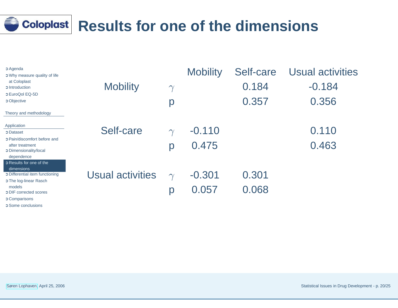# <span id="page-19-0"></span>**Results for one of the dimensions**

| <b>C</b> Agenda<br><b>O</b> Why measure quality of life                                                                                                     |                         |               | <b>Mobility</b>   | Self-care      | <b>Usual activities</b> |
|-------------------------------------------------------------------------------------------------------------------------------------------------------------|-------------------------|---------------|-------------------|----------------|-------------------------|
| at Coloplast<br><b>C</b> Introduction<br>C EuroQol EQ-5D                                                                                                    | <b>Mobility</b>         | $\gamma$      |                   | 0.184          | $-0.184$                |
| <b>C</b> Objective                                                                                                                                          |                         | p             |                   | 0.357          | 0.356                   |
| Theory and methodology                                                                                                                                      |                         |               |                   |                |                         |
| Application<br><b>C</b> Dataset                                                                                                                             | Self-care               | $\gamma$      | $-0.110$          |                | 0.110                   |
| <b>O</b> Pain/discomfort before and<br>after treatment<br>O Dimensionality/local<br>dependence                                                              |                         | p             | 0.475             |                | 0.463                   |
| C Results for one of the<br>dimensions<br><b>O</b> Differential item functioning<br><b>O</b> The log-linear Rasch<br>models<br><b>ODIF</b> corrected scores | <b>Usual activities</b> | $\gamma$<br>р | $-0.301$<br>0.057 | 0.301<br>0.068 |                         |
| <b>C</b> Comparisons<br>$\sim$ $\sim$ $\sim$ $\sim$ $\sim$ $\sim$ $\sim$                                                                                    |                         |               |                   |                |                         |

➲ Some [conclusions](#page-24-0)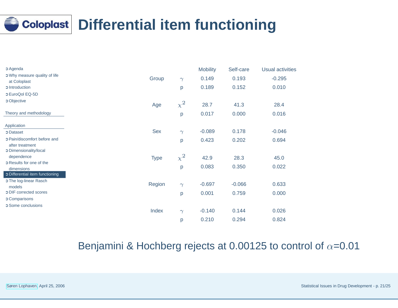## <span id="page-20-0"></span>**Differential item functioning**

| <b>C</b> Agenda                           |             |          | <b>Mobility</b> | Self-care | <b>Usual activities</b> |
|-------------------------------------------|-------------|----------|-----------------|-----------|-------------------------|
| O Why measure quality of life             | Group       | $\gamma$ | 0.149           | 0.193     | $-0.295$                |
| at Coloplast<br><b>C</b> Introduction     |             |          | 0.189           | 0.152     | 0.010                   |
|                                           |             | p        |                 |           |                         |
| C EuroQol EQ-5D                           |             |          |                 |           |                         |
| <b>C</b> Objective                        | Age         | $\chi^2$ | 28.7            | 41.3      | 28.4                    |
| Theory and methodology                    |             | p        | 0.017           | 0.000     | 0.016                   |
| Application                               |             |          |                 |           |                         |
| <b>C</b> Dataset                          | <b>Sex</b>  | $\gamma$ | $-0.089$        | 0.178     | $-0.046$                |
| O Pain/discomfort before and              |             | p        | 0.423           | 0.202     | 0.694                   |
| after treatment<br>O Dimensionality/local |             |          |                 |           |                         |
| dependence                                | <b>Type</b> | $\chi^2$ | 42.9            | 28.3      | 45.0                    |
| C Results for one of the                  |             |          |                 |           |                         |
| dimensions                                |             | p        | 0.083           | 0.350     | 0.022                   |
| O Differential item functioning           |             |          |                 |           |                         |
| O The log-linear Rasch                    | Region      | $\gamma$ | $-0.697$        | $-0.066$  | 0.633                   |
| models<br><b>ODIF</b> corrected scores    |             |          | 0.001           | 0.759     | 0.000                   |
| C Comparisons                             |             | p        |                 |           |                         |
| C Some conclusions                        |             |          |                 |           |                         |
|                                           | Index       | $\gamma$ | $-0.140$        | 0.144     | 0.026                   |
|                                           |             | р        | 0.210           | 0.294     | 0.824                   |

### Benjamini & Hochberg rejects at 0.00125 to control of  $\alpha$ =0.01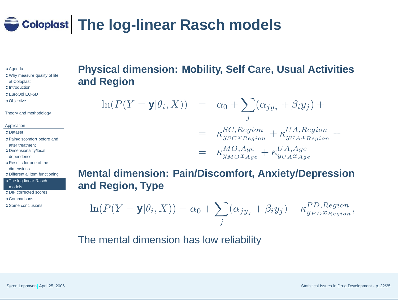### <span id="page-21-0"></span>**The log-linear Rasch models**

➲ [Agenda](#page-1-0)

➲ Why measure quality of life at [Coloplast](#page-2-0) ➲ [Introduction](#page-3-0) ➲ [EuroQol](#page-4-0) EQ-5D ➲ [Objective](#page-5-0)

Theory and [methodology](#page-6-0)

[Application](#page-15-0)

➲ [Dataset](#page-16-0)

➲ [Pain/discomfort](#page-17-0) before and

after treatment

➲ [Dimensionality/local](#page-18-0)

dependence

➲ Results for one of the

[dimensions](#page-19-0)

➲ Differential item [functioning](#page-20-0)

➲ The log-linear Rasch

models

➲ DIF [corrected](#page-22-0) scores

➲ [Comparisons](#page-23-0)

➲ Some [conclusions](#page-24-0)

### **Physical dimension: Mobility, Self Care, Usual Activitiesand Region**

$$
\ln(P(Y = y | \theta_i, X)) = \alpha_0 + \sum_j (\alpha_{j y_j} + \beta_i y_j) +
$$
  
=  $\kappa_{y_{SC} x_{Region}}^{SC, Region} + \kappa_{y_{U A} x_{Region}}^{UA, Region} +$   
=  $\kappa_{y_{MO} x_{Age}}^{MO, Age} + \kappa_{y_{U A} x_{Age}}^{UA, Age}$ 

**Mental dimension: Pain/Discomfort, Anxiety/Depressionand Region, Type**

$$
\ln(P(Y = y | \theta_i, X)) = \alpha_0 + \sum_j (\alpha_{jy_j} + \beta_i y_j) + \kappa_{yp_{D}x_{Region}}^{PD,Region},
$$

The mental dimension has low reliability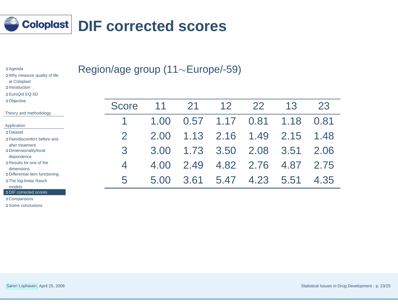<span id="page-22-0"></span>

| <b>C</b> Agenda                      |  |
|--------------------------------------|--|
| <b>O</b> Why measure quality of life |  |
| at Coloplast                         |  |
| <b>C</b> Introduction                |  |
| C EuroQol EQ-5D                      |  |
| <b>C</b> Objective                   |  |
|                                      |  |

Region/age group (11∼Europe/-59)

| <b>O</b> Objective<br>Score<br>12<br>22<br>13<br>21<br>23<br>Theory and methodology<br>1.17<br>0.57<br>0.81<br>1.18<br>0.81<br>1.00<br>Application<br><b>C</b> Dataset<br>1.13<br>2.16<br>$\overline{2}$<br>1.49<br>2.15<br>2.00<br>1.48<br><b>C</b> Pain/discomfort before and<br>after treatment<br>3<br>3.50<br>1.73<br>2.08<br>3.51<br>3.00<br>2.06<br>O Dimensionality/local<br>dependence<br><b>O</b> Results for one of the<br>4.82<br>2.76<br>2.49<br>4.87<br>4.00<br>2.75<br>$\overline{\mathcal{A}}$<br>dimensions<br><b>O</b> Differential item functioning<br>5.47<br>5<br>3.61<br>4.23<br>5.51<br>4.35<br>5.00<br><b>O</b> The log-linear Rasch<br>models<br><b>ODIF</b> corrected scores |  |  |  |  |  |
|--------------------------------------------------------------------------------------------------------------------------------------------------------------------------------------------------------------------------------------------------------------------------------------------------------------------------------------------------------------------------------------------------------------------------------------------------------------------------------------------------------------------------------------------------------------------------------------------------------------------------------------------------------------------------------------------------------|--|--|--|--|--|
|                                                                                                                                                                                                                                                                                                                                                                                                                                                                                                                                                                                                                                                                                                        |  |  |  |  |  |
|                                                                                                                                                                                                                                                                                                                                                                                                                                                                                                                                                                                                                                                                                                        |  |  |  |  |  |
|                                                                                                                                                                                                                                                                                                                                                                                                                                                                                                                                                                                                                                                                                                        |  |  |  |  |  |
|                                                                                                                                                                                                                                                                                                                                                                                                                                                                                                                                                                                                                                                                                                        |  |  |  |  |  |
|                                                                                                                                                                                                                                                                                                                                                                                                                                                                                                                                                                                                                                                                                                        |  |  |  |  |  |
|                                                                                                                                                                                                                                                                                                                                                                                                                                                                                                                                                                                                                                                                                                        |  |  |  |  |  |
|                                                                                                                                                                                                                                                                                                                                                                                                                                                                                                                                                                                                                                                                                                        |  |  |  |  |  |
|                                                                                                                                                                                                                                                                                                                                                                                                                                                                                                                                                                                                                                                                                                        |  |  |  |  |  |

➲ [Comparisons](#page-23-0)

➲ Some [conclusions](#page-24-0)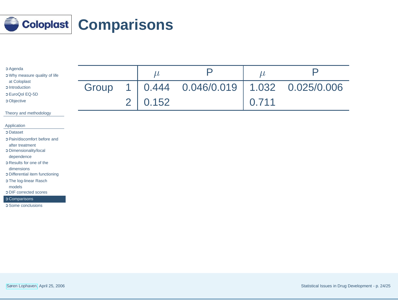<span id="page-23-0"></span>

| C Agenda<br>O Why measure quality of life                                        |       |                | $\mu$ | $\mathsf{p}% _{T}$ | $\mu$ | $\mathsf{D}% _{T}$ |
|----------------------------------------------------------------------------------|-------|----------------|-------|--------------------|-------|--------------------|
| at Coloplast<br><b>C</b> Introduction<br>C EuroQol EQ-5D                         | Group | 1              | 0.444 | 0.046/0.019        | 1.032 | 0.025/0.006        |
| <b>C</b> Objective                                                               |       | $\overline{2}$ | 0.152 |                    | 0.711 |                    |
| Theory and methodology                                                           |       |                |       |                    |       |                    |
| Application                                                                      |       |                |       |                    |       |                    |
| <b>C</b> Dataset                                                                 |       |                |       |                    |       |                    |
| O Pain/discomfort before and<br>after treatment<br><b>C</b> Dimensionality/local |       |                |       |                    |       |                    |
| dependence                                                                       |       |                |       |                    |       |                    |
| C Results for one of the<br>dimensions<br><b>O</b> Differential item functioning |       |                |       |                    |       |                    |
| O The log-linear Rasch<br>models                                                 |       |                |       |                    |       |                    |
| <b>ODIF</b> corrected scores                                                     |       |                |       |                    |       |                    |
| <b>C</b> Comparisons<br>C Some conclusions                                       |       |                |       |                    |       |                    |
|                                                                                  |       |                |       |                    |       |                    |